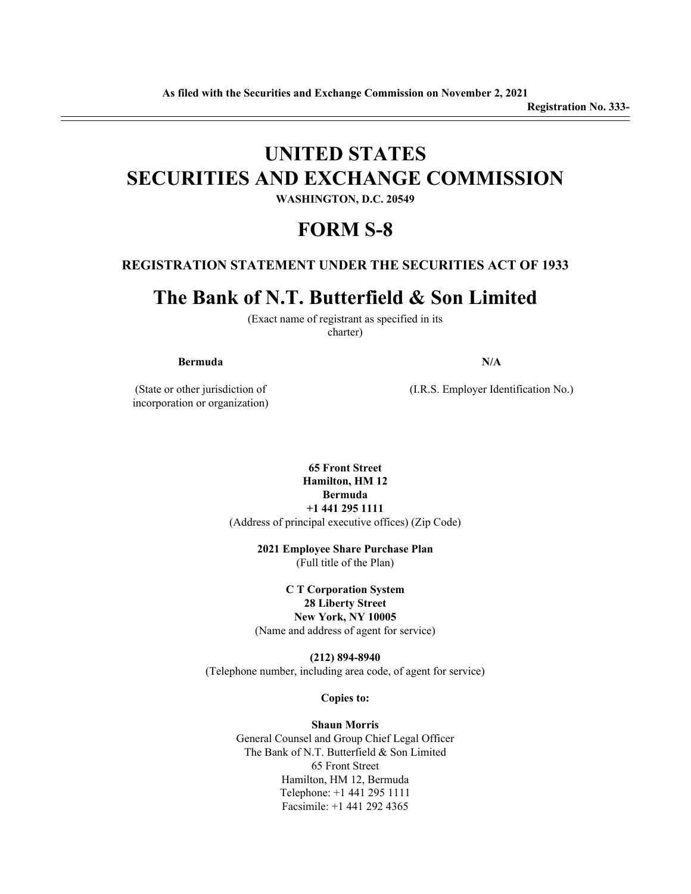# **UNITED STATES SECURITIES AND EXCHANGE COMMISSION**

**WASHINGTON, D.C. 20549**

## **FORM S-8**

#### **REGISTRATION STATEMENT UNDER THE SECURITIES ACT OF 1933**

## **The Bank of N.T. Butterfield & Son Limited**

(Exact name of registrant as specified in its charter)

#### **Bermuda N/A**

(State or other jurisdiction of incorporation or organization) (I.R.S. Employer Identification No.)

**65 Front Street Hamilton, HM 12 Bermuda +1 441 295 1111** (Address of principal executive offices) (Zip Code)

> **2021 Employee Share Purchase Plan** (Full title of the Plan)

**C T Corporation System 28 Liberty Street New York, NY 10005** (Name and address of agent for service)

**(212) 894-8940** (Telephone number, including area code, of agent for service)

**Copies to:**

#### **Shaun Morris**

General Counsel and Group Chief Legal Officer The Bank of N.T. Butterfield & Son Limited 65 Front Street Hamilton, HM 12, Bermuda Telephone: +1 441 295 1111 Facsimile: +1 441 292 4365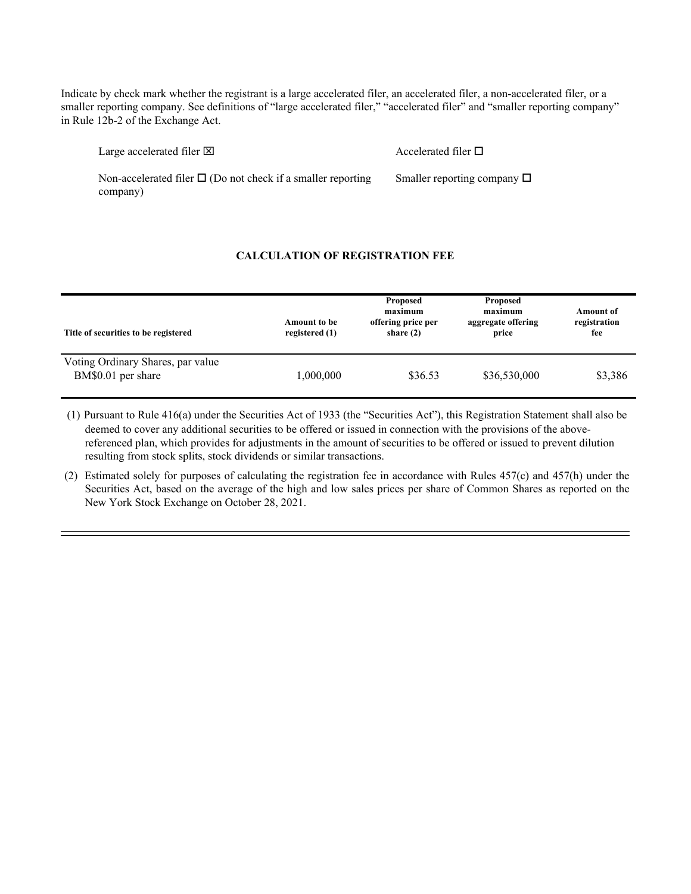Indicate by check mark whether the registrant is a large accelerated filer, an accelerated filer, a non-accelerated filer, or a smaller reporting company. See definitions of "large accelerated filer," "accelerated filer" and "smaller reporting company" in Rule 12b-2 of the Exchange Act.

Large accelerated filer  $\boxtimes$  Accelerated filer  $\Box$ 

Smaller reporting company  $\Box$ 

Non-accelerated filer  $\Box$  (Do not check if a smaller reporting company)

#### **CALCULATION OF REGISTRATION FEE**

| Title of securities to be registered                    | Amount to be<br>registered (1) | Proposed<br>maximum<br>offering price per<br>share $(2)$ | Proposed<br>maximum<br>aggregate offering<br>price | <b>Amount of</b><br>registration<br>fee |
|---------------------------------------------------------|--------------------------------|----------------------------------------------------------|----------------------------------------------------|-----------------------------------------|
| Voting Ordinary Shares, par value<br>BM\$0.01 per share | 1,000,000                      | \$36.53                                                  | \$36,530,000                                       | \$3,386                                 |

 (1) Pursuant to Rule 416(a) under the Securities Act of 1933 (the "Securities Act"), this Registration Statement shall also be deemed to cover any additional securities to be offered or issued in connection with the provisions of the abovereferenced plan, which provides for adjustments in the amount of securities to be offered or issued to prevent dilution resulting from stock splits, stock dividends or similar transactions.

 (2) Estimated solely for purposes of calculating the registration fee in accordance with Rules 457(c) and 457(h) under the Securities Act, based on the average of the high and low sales prices per share of Common Shares as reported on the New York Stock Exchange on October 28, 2021.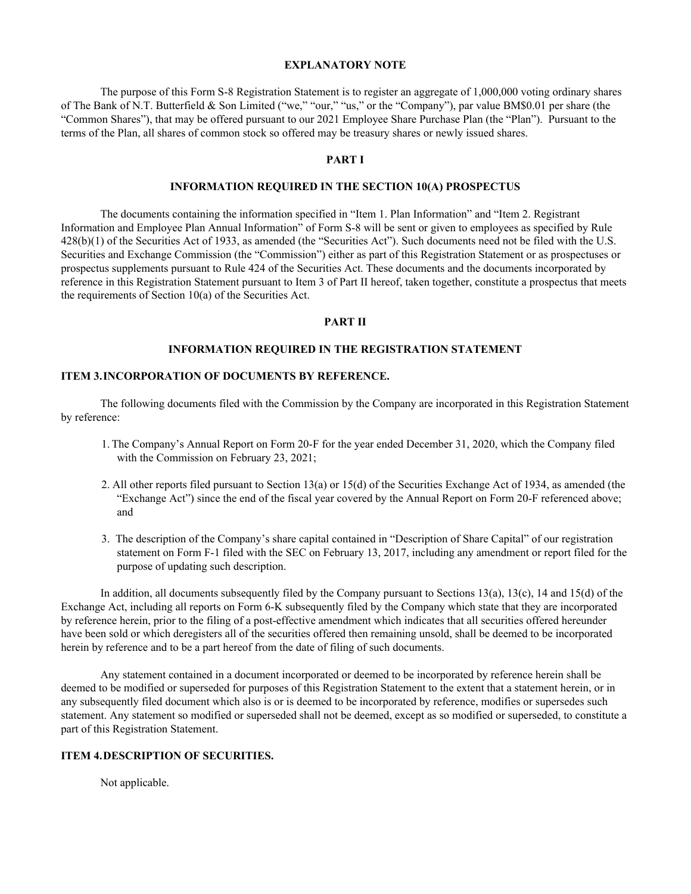#### **EXPLANATORY NOTE**

The purpose of this Form S-8 Registration Statement is to register an aggregate of 1,000,000 voting ordinary shares of The Bank of N.T. Butterfield & Son Limited ("we," "our," "us," or the "Company"), par value BM\$0.01 per share (the "Common Shares"), that may be offered pursuant to our 2021 Employee Share Purchase Plan (the "Plan"). Pursuant to the terms of the Plan, all shares of common stock so offered may be treasury shares or newly issued shares.

#### **PART I**

#### **INFORMATION REQUIRED IN THE SECTION 10(A) PROSPECTUS**

The documents containing the information specified in "Item 1. Plan Information" and "Item 2. Registrant Information and Employee Plan Annual Information" of Form S-8 will be sent or given to employees as specified by Rule 428(b)(1) of the Securities Act of 1933, as amended (the "Securities Act"). Such documents need not be filed with the U.S. Securities and Exchange Commission (the "Commission") either as part of this Registration Statement or as prospectuses or prospectus supplements pursuant to Rule 424 of the Securities Act. These documents and the documents incorporated by reference in this Registration Statement pursuant to Item 3 of Part II hereof, taken together, constitute a prospectus that meets the requirements of Section 10(a) of the Securities Act.

#### **PART II**

#### **INFORMATION REQUIRED IN THE REGISTRATION STATEMENT**

#### **ITEM 3.INCORPORATION OF DOCUMENTS BY REFERENCE.**

The following documents filed with the Commission by the Company are incorporated in this Registration Statement by reference:

- 1. The Company's Annual Report on Form 20-F for the year ended December 31, 2020, which the Company filed with the Commission on February 23, 2021;
- 2. All other reports filed pursuant to Section 13(a) or 15(d) of the Securities Exchange Act of 1934, as amended (the "Exchange Act") since the end of the fiscal year covered by the Annual Report on Form 20-F referenced above; and
- 3. The description of the Company's share capital contained in "Description of Share Capital" of our registration statement on Form F-1 filed with the SEC on February 13, 2017, including any amendment or report filed for the purpose of updating such description.

In addition, all documents subsequently filed by the Company pursuant to Sections 13(a), 13(c), 14 and 15(d) of the Exchange Act, including all reports on Form 6-K subsequently filed by the Company which state that they are incorporated by reference herein, prior to the filing of a post-effective amendment which indicates that all securities offered hereunder have been sold or which deregisters all of the securities offered then remaining unsold, shall be deemed to be incorporated herein by reference and to be a part hereof from the date of filing of such documents.

Any statement contained in a document incorporated or deemed to be incorporated by reference herein shall be deemed to be modified or superseded for purposes of this Registration Statement to the extent that a statement herein, or in any subsequently filed document which also is or is deemed to be incorporated by reference, modifies or supersedes such statement. Any statement so modified or superseded shall not be deemed, except as so modified or superseded, to constitute a part of this Registration Statement.

#### **ITEM 4.DESCRIPTION OF SECURITIES.**

Not applicable.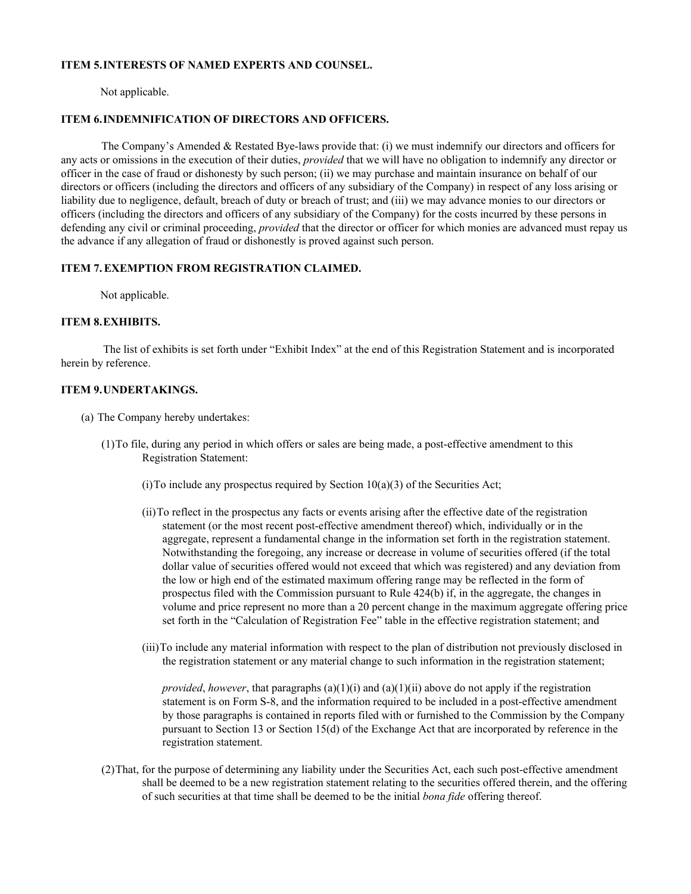#### **ITEM 5.INTERESTS OF NAMED EXPERTS AND COUNSEL.**

Not applicable.

#### **ITEM 6.INDEMNIFICATION OF DIRECTORS AND OFFICERS.**

The Company's Amended & Restated Bye-laws provide that: (i) we must indemnify our directors and officers for any acts or omissions in the execution of their duties, *provided* that we will have no obligation to indemnify any director or officer in the case of fraud or dishonesty by such person; (ii) we may purchase and maintain insurance on behalf of our directors or officers (including the directors and officers of any subsidiary of the Company) in respect of any loss arising or liability due to negligence, default, breach of duty or breach of trust; and (iii) we may advance monies to our directors or officers (including the directors and officers of any subsidiary of the Company) for the costs incurred by these persons in defending any civil or criminal proceeding, *provided* that the director or officer for which monies are advanced must repay us the advance if any allegation of fraud or dishonestly is proved against such person.

#### **ITEM 7. EXEMPTION FROM REGISTRATION CLAIMED.**

Not applicable.

#### **ITEM 8.EXHIBITS.**

The list of exhibits is set forth under "Exhibit Index" at the end of this Registration Statement and is incorporated herein by reference.

#### **ITEM 9.UNDERTAKINGS.**

- (a) The Company hereby undertakes:
	- (1)To file, during any period in which offers or sales are being made, a post-effective amendment to this Registration Statement:
		- (i) To include any prospectus required by Section  $10(a)(3)$  of the Securities Act;
		- (ii)To reflect in the prospectus any facts or events arising after the effective date of the registration statement (or the most recent post-effective amendment thereof) which, individually or in the aggregate, represent a fundamental change in the information set forth in the registration statement. Notwithstanding the foregoing, any increase or decrease in volume of securities offered (if the total dollar value of securities offered would not exceed that which was registered) and any deviation from the low or high end of the estimated maximum offering range may be reflected in the form of prospectus filed with the Commission pursuant to Rule 424(b) if, in the aggregate, the changes in volume and price represent no more than a 20 percent change in the maximum aggregate offering price set forth in the "Calculation of Registration Fee" table in the effective registration statement; and
		- (iii)To include any material information with respect to the plan of distribution not previously disclosed in the registration statement or any material change to such information in the registration statement;

*provided, however,* that paragraphs (a)(1)(i) and (a)(1)(ii) above do not apply if the registration statement is on Form S-8, and the information required to be included in a post-effective amendment by those paragraphs is contained in reports filed with or furnished to the Commission by the Company pursuant to Section 13 or Section 15(d) of the Exchange Act that are incorporated by reference in the registration statement.

(2)That, for the purpose of determining any liability under the Securities Act, each such post-effective amendment shall be deemed to be a new registration statement relating to the securities offered therein, and the offering of such securities at that time shall be deemed to be the initial *bona fide* offering thereof.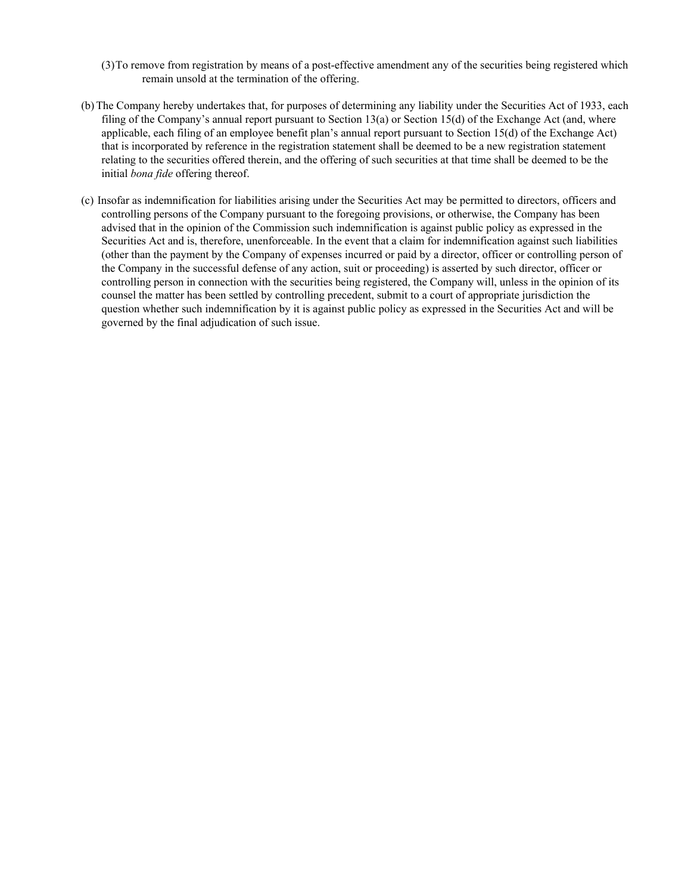- (3)To remove from registration by means of a post-effective amendment any of the securities being registered which remain unsold at the termination of the offering.
- (b) The Company hereby undertakes that, for purposes of determining any liability under the Securities Act of 1933, each filing of the Company's annual report pursuant to Section 13(a) or Section 15(d) of the Exchange Act (and, where applicable, each filing of an employee benefit plan's annual report pursuant to Section 15(d) of the Exchange Act) that is incorporated by reference in the registration statement shall be deemed to be a new registration statement relating to the securities offered therein, and the offering of such securities at that time shall be deemed to be the initial *bona fide* offering thereof.
- (c) Insofar as indemnification for liabilities arising under the Securities Act may be permitted to directors, officers and controlling persons of the Company pursuant to the foregoing provisions, or otherwise, the Company has been advised that in the opinion of the Commission such indemnification is against public policy as expressed in the Securities Act and is, therefore, unenforceable. In the event that a claim for indemnification against such liabilities (other than the payment by the Company of expenses incurred or paid by a director, officer or controlling person of the Company in the successful defense of any action, suit or proceeding) is asserted by such director, officer or controlling person in connection with the securities being registered, the Company will, unless in the opinion of its counsel the matter has been settled by controlling precedent, submit to a court of appropriate jurisdiction the question whether such indemnification by it is against public policy as expressed in the Securities Act and will be governed by the final adjudication of such issue.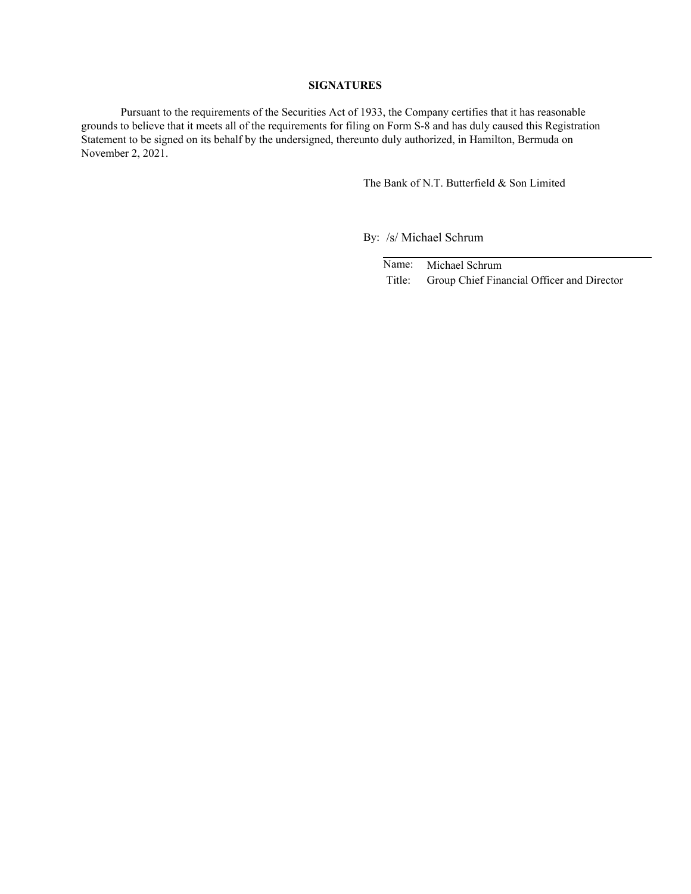#### **SIGNATURES**

Pursuant to the requirements of the Securities Act of 1933, the Company certifies that it has reasonable grounds to believe that it meets all of the requirements for filing on Form S-8 and has duly caused this Registration Statement to be signed on its behalf by the undersigned, thereunto duly authorized, in Hamilton, Bermuda on November 2, 2021.

The Bank of N.T. Butterfield & Son Limited

By: /s/ Michael Schrum

Name: Michael Schrum Title: Group Chief Financial Officer and Director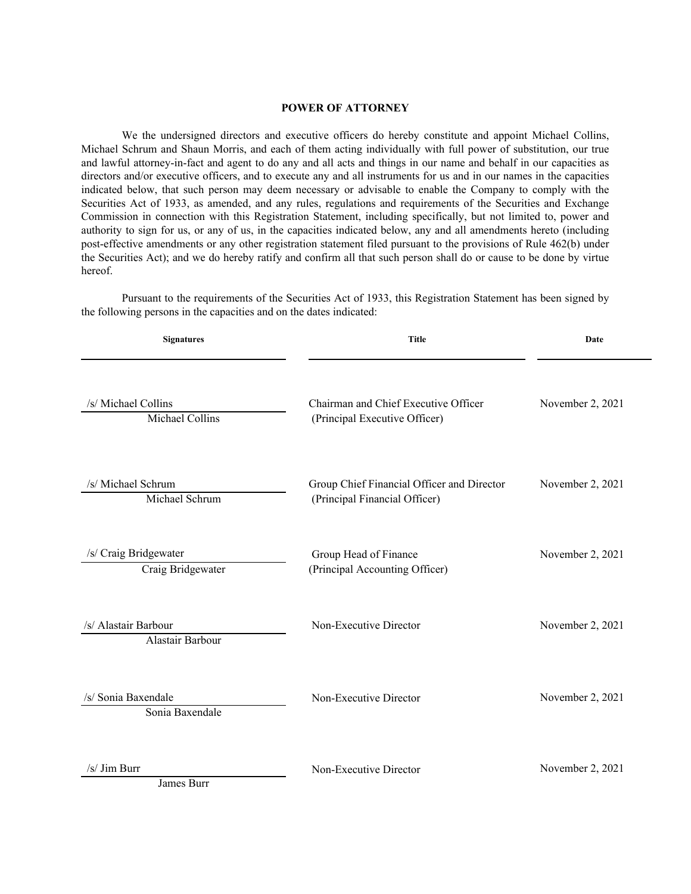#### **POWER OF ATTORNEY**

<span id="page-6-0"></span>We the undersigned directors and executive officers do hereby constitute and appoint Michael Collins, Michael Schrum and Shaun Morris, and each of them acting individually with full power of substitution, our true and lawful attorney-in-fact and agent to do any and all acts and things in our name and behalf in our capacities as directors and/or executive officers, and to execute any and all instruments for us and in our names in the capacities indicated below, that such person may deem necessary or advisable to enable the Company to comply with the Securities Act of 1933, as amended, and any rules, regulations and requirements of the Securities and Exchange Commission in connection with this Registration Statement, including specifically, but not limited to, power and authority to sign for us, or any of us, in the capacities indicated below, any and all amendments hereto (including post-effective amendments or any other registration statement filed pursuant to the provisions of Rule 462(b) under the Securities Act); and we do hereby ratify and confirm all that such person shall do or cause to be done by virtue hereof.

**Signatures Title Date** /s/ Michael Collins Chairman and Chief Executive Officer November 2, 2021 Michael Collins (Principal Executive Officer) /s/ Michael Schrum Group Chief Financial Officer and Director November 2, 2021 Michael Schrum (Principal Financial Officer) /s/ Craig Bridgewater Group Head of Finance November 2, 2021 Craig Bridgewater (Principal Accounting Officer) /s/ Alastair Barbour Non-Executive Director November 2, 2021 Alastair Barbour /s/ Sonia Baxendale Non-Executive Director November 2, 2021 Sonia Baxendale /s/ Jim Burr Non-Executive Director November 2, 2021

Pursuant to the requirements of the Securities Act of 1933, this Registration Statement has been signed by the following persons in the capacities and on the dates indicated:

James Burr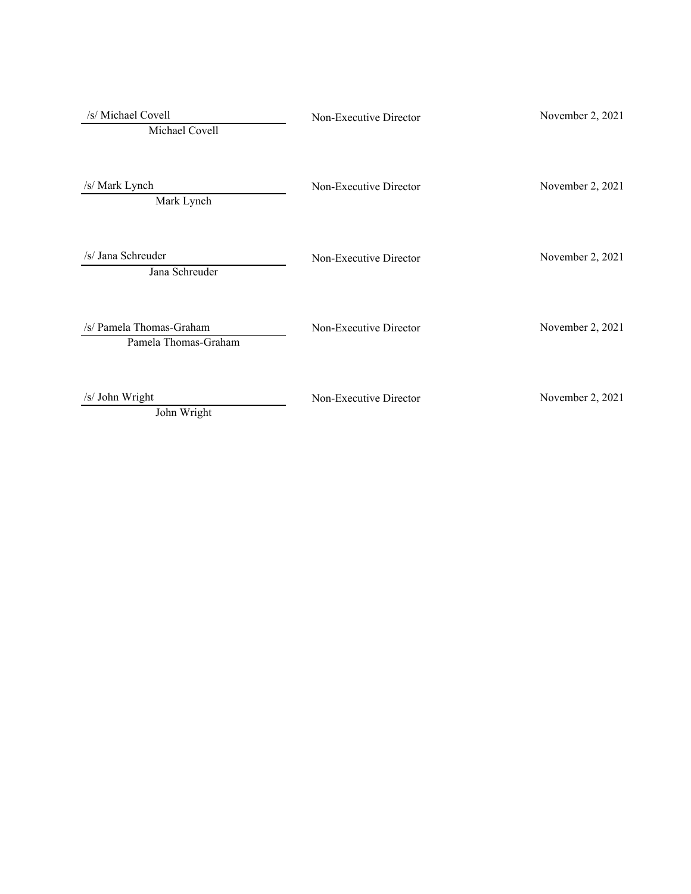| /s/ Michael Covell<br>Michael Covell             | Non-Executive Director | November 2, 2021 |
|--------------------------------------------------|------------------------|------------------|
| /s/ Mark Lynch<br>Mark Lynch                     | Non-Executive Director | November 2, 2021 |
| /s/ Jana Schreuder<br>Jana Schreuder             | Non-Executive Director | November 2, 2021 |
| /s/ Pamela Thomas-Graham<br>Pamela Thomas-Graham | Non-Executive Director | November 2, 2021 |
| /s/ John Wright<br>John Wright                   | Non-Executive Director | November 2, 2021 |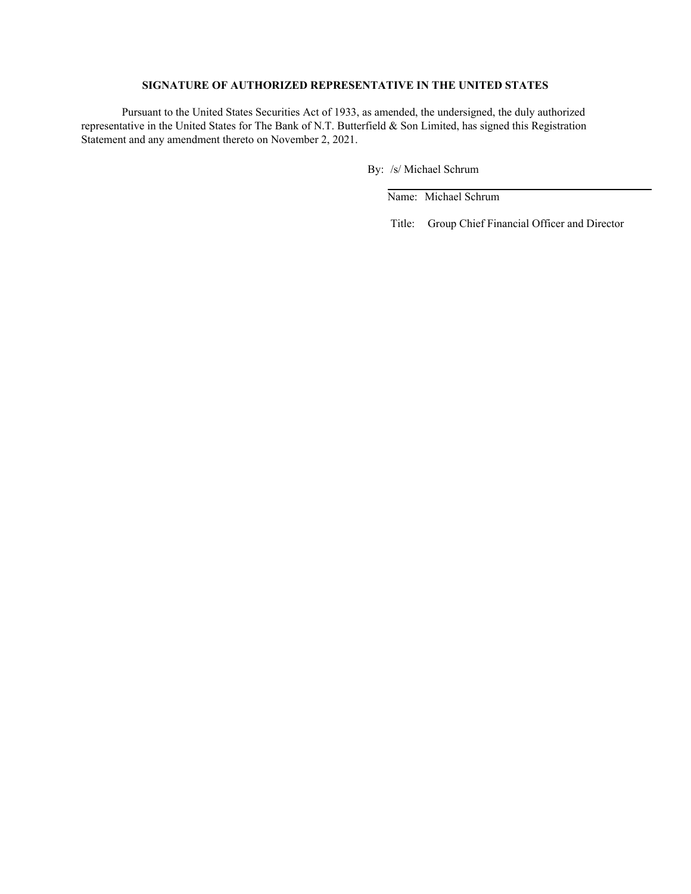#### **SIGNATURE OF AUTHORIZED REPRESENTATIVE IN THE UNITED STATES**

Pursuant to the United States Securities Act of 1933, as amended, the undersigned, the duly authorized representative in the United States for The Bank of N.T. Butterfield & Son Limited, has signed this Registration Statement and any amendment thereto on November 2, 2021.

By: /s/ Michael Schrum

Name: Michael Schrum

Title: Group Chief Financial Officer and Director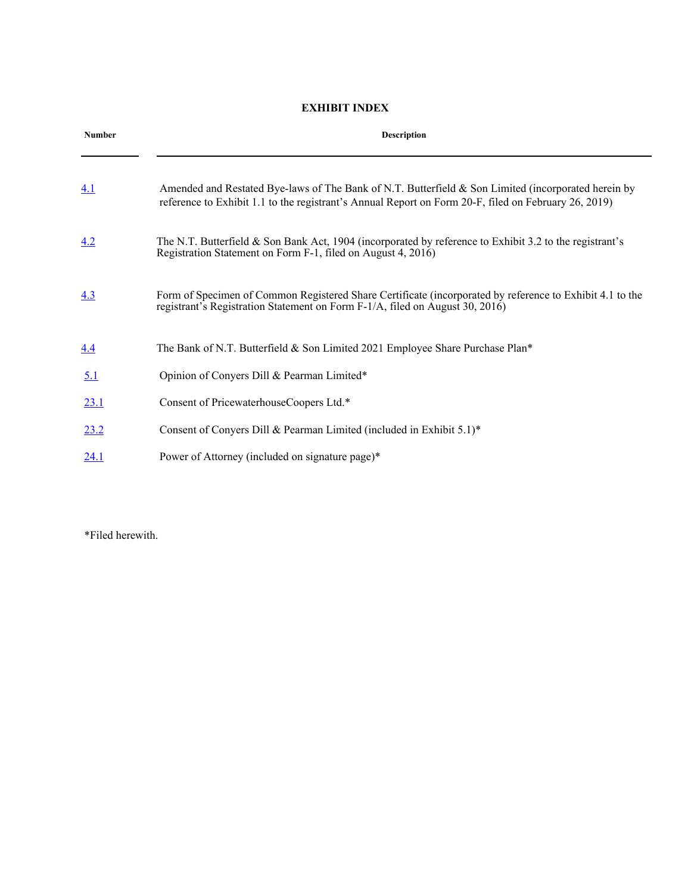#### **EXHIBIT INDEX**

| <b>Number</b> | <b>Description</b>                                                                                                                                                                                          |  |  |
|---------------|-------------------------------------------------------------------------------------------------------------------------------------------------------------------------------------------------------------|--|--|
| 4.1           | Amended and Restated Bye-laws of The Bank of N.T. Butterfield & Son Limited (incorporated herein by<br>reference to Exhibit 1.1 to the registrant's Annual Report on Form 20-F, filed on February 26, 2019) |  |  |
| 4.2           | The N.T. Butterfield $\&$ Son Bank Act, 1904 (incorporated by reference to Exhibit 3.2 to the registrant's<br>Registration Statement on Form F-1, filed on August 4, 2016)                                  |  |  |
| 4.3           | Form of Specimen of Common Registered Share Certificate (incorporated by reference to Exhibit 4.1 to the<br>registrant's Registration Statement on Form F-1/A, filed on August 30, 2016)                    |  |  |
| 4.4           | The Bank of N.T. Butterfield & Son Limited 2021 Employee Share Purchase Plan*                                                                                                                               |  |  |
| 5.1           | Opinion of Convers Dill & Pearman Limited*                                                                                                                                                                  |  |  |
| <u>23.1</u>   | Consent of PricewaterhouseCoopers Ltd.*                                                                                                                                                                     |  |  |
| 23.2          | Consent of Convers Dill & Pearman Limited (included in Exhibit 5.1)*                                                                                                                                        |  |  |
| 24.1          | Power of Attorney (included on signature page)*                                                                                                                                                             |  |  |

\*Filed herewith.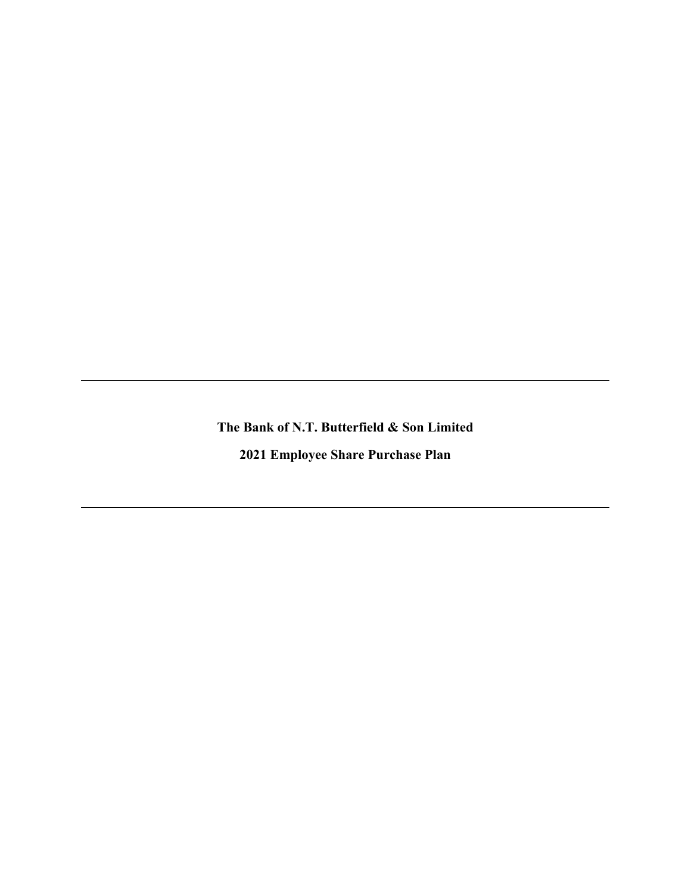**The Bank of N.T. Butterfield & Son Limited**

**2021 Employee Share Purchase Plan**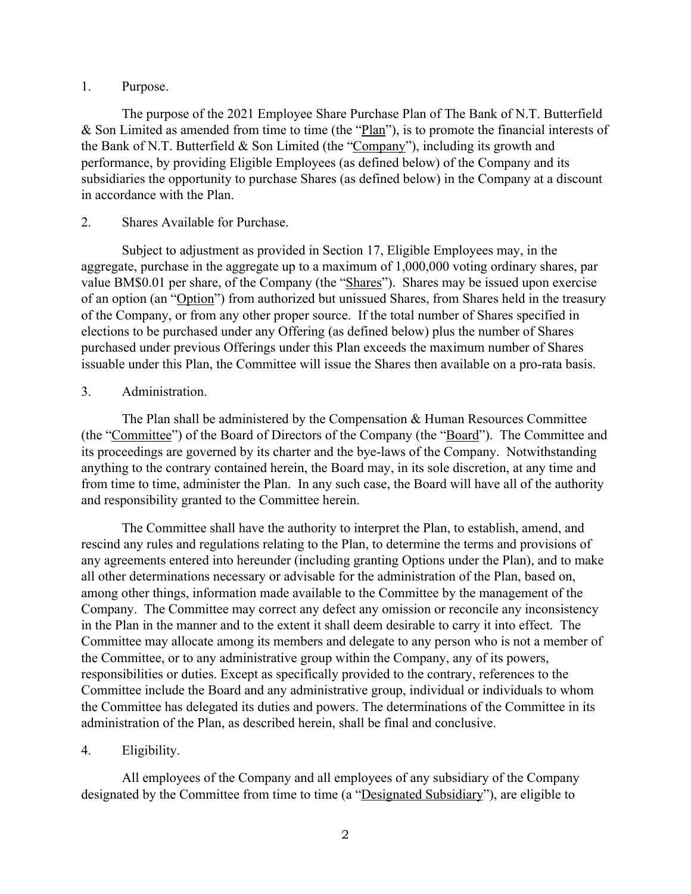### 1. Purpose.

The purpose of the 2021 Employee Share Purchase Plan of The Bank of N.T. Butterfield & Son Limited as amended from time to time (the "Plan"), is to promote the financial interests of the Bank of N.T. Butterfield & Son Limited (the "Company"), including its growth and performance, by providing Eligible Employees (as defined below) of the Company and its subsidiaries the opportunity to purchase Shares (as defined below) in the Company at a discount in accordance with the Plan.

### 2. Shares Available for Purchase.

Subject to adjustment as provided in Section 17, Eligible Employees may, in the aggregate, purchase in the aggregate up to a maximum of 1,000,000 voting ordinary shares, par value BM\$0.01 per share, of the Company (the "Shares"). Shares may be issued upon exercise of an option (an "Option") from authorized but unissued Shares, from Shares held in the treasury of the Company, or from any other proper source. If the total number of Shares specified in elections to be purchased under any Offering (as defined below) plus the number of Shares purchased under previous Offerings under this Plan exceeds the maximum number of Shares issuable under this Plan, the Committee will issue the Shares then available on a pro-rata basis.

### 3. Administration.

The Plan shall be administered by the Compensation & Human Resources Committee (the "Committee") of the Board of Directors of the Company (the "Board"). The Committee and its proceedings are governed by its charter and the bye-laws of the Company. Notwithstanding anything to the contrary contained herein, the Board may, in its sole discretion, at any time and from time to time, administer the Plan. In any such case, the Board will have all of the authority and responsibility granted to the Committee herein.

The Committee shall have the authority to interpret the Plan, to establish, amend, and rescind any rules and regulations relating to the Plan, to determine the terms and provisions of any agreements entered into hereunder (including granting Options under the Plan), and to make all other determinations necessary or advisable for the administration of the Plan, based on, among other things, information made available to the Committee by the management of the Company. The Committee may correct any defect any omission or reconcile any inconsistency in the Plan in the manner and to the extent it shall deem desirable to carry it into effect. The Committee may allocate among its members and delegate to any person who is not a member of the Committee, or to any administrative group within the Company, any of its powers, responsibilities or duties. Except as specifically provided to the contrary, references to the Committee include the Board and any administrative group, individual or individuals to whom the Committee has delegated its duties and powers. The determinations of the Committee in its administration of the Plan, as described herein, shall be final and conclusive.

### 4. Eligibility.

All employees of the Company and all employees of any subsidiary of the Company designated by the Committee from time to time (a "Designated Subsidiary"), are eligible to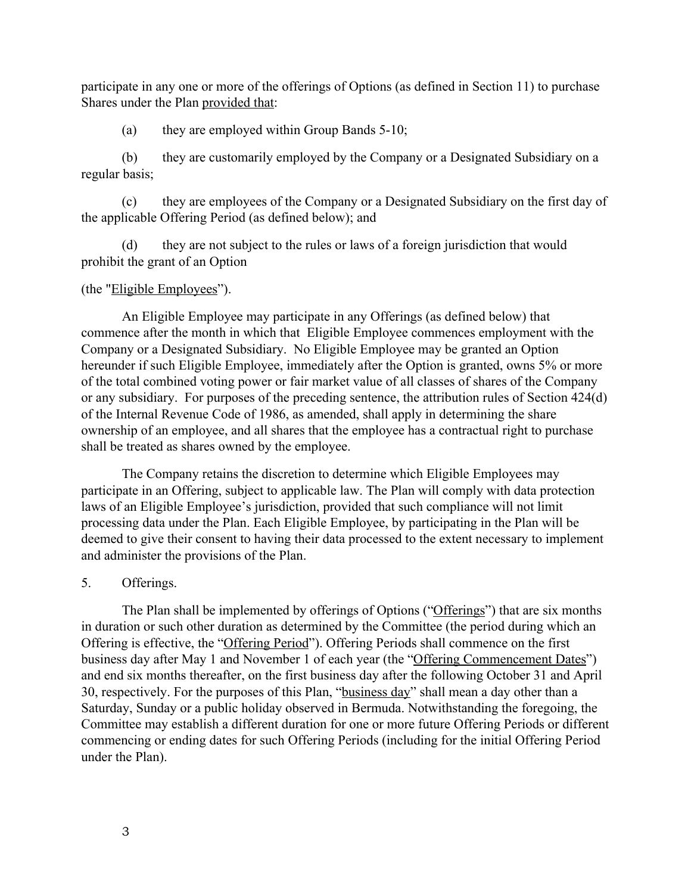participate in any one or more of the offerings of Options (as defined in Section 11) to purchase Shares under the Plan provided that:

(a) they are employed within Group Bands 5-10;

(b) they are customarily employed by the Company or a Designated Subsidiary on a regular basis;

(c) they are employees of the Company or a Designated Subsidiary on the first day of the applicable Offering Period (as defined below); and

(d) they are not subject to the rules or laws of a foreign jurisdiction that would prohibit the grant of an Option

### (the "Eligible Employees").

An Eligible Employee may participate in any Offerings (as defined below) that commence after the month in which that Eligible Employee commences employment with the Company or a Designated Subsidiary. No Eligible Employee may be granted an Option hereunder if such Eligible Employee, immediately after the Option is granted, owns 5% or more of the total combined voting power or fair market value of all classes of shares of the Company or any subsidiary. For purposes of the preceding sentence, the attribution rules of Section 424(d) of the Internal Revenue Code of 1986, as amended, shall apply in determining the share ownership of an employee, and all shares that the employee has a contractual right to purchase shall be treated as shares owned by the employee.

The Company retains the discretion to determine which Eligible Employees may participate in an Offering, subject to applicable law. The Plan will comply with data protection laws of an Eligible Employee's jurisdiction, provided that such compliance will not limit processing data under the Plan. Each Eligible Employee, by participating in the Plan will be deemed to give their consent to having their data processed to the extent necessary to implement and administer the provisions of the Plan.

### 5. Offerings.

 The Plan shall be implemented by offerings of Options ("Offerings") that are six months in duration or such other duration as determined by the Committee (the period during which an Offering is effective, the "Offering Period"). Offering Periods shall commence on the first business day after May 1 and November 1 of each year (the "Offering Commencement Dates") and end six months thereafter, on the first business day after the following October 31 and April 30, respectively. For the purposes of this Plan, "business day" shall mean a day other than a Saturday, Sunday or a public holiday observed in Bermuda. Notwithstanding the foregoing, the Committee may establish a different duration for one or more future Offering Periods or different commencing or ending dates for such Offering Periods (including for the initial Offering Period under the Plan).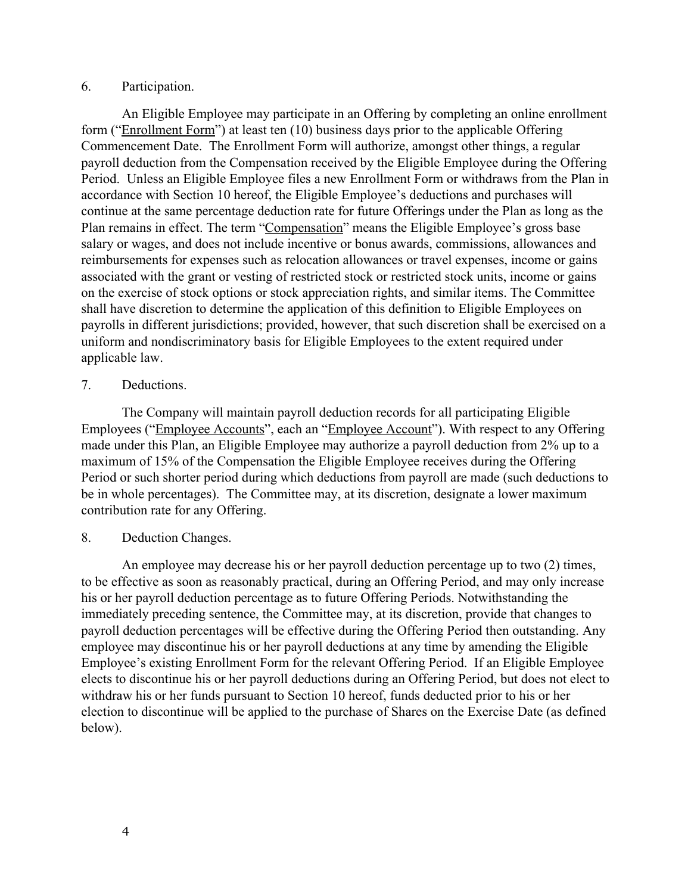#### 6. Participation.

An Eligible Employee may participate in an Offering by completing an online enrollment form ("Enrollment Form") at least ten (10) business days prior to the applicable Offering Commencement Date. The Enrollment Form will authorize, amongst other things, a regular payroll deduction from the Compensation received by the Eligible Employee during the Offering Period. Unless an Eligible Employee files a new Enrollment Form or withdraws from the Plan in accordance with Section 10 hereof, the Eligible Employee's deductions and purchases will continue at the same percentage deduction rate for future Offerings under the Plan as long as the Plan remains in effect. The term "Compensation" means the Eligible Employee's gross base salary or wages, and does not include incentive or bonus awards, commissions, allowances and reimbursements for expenses such as relocation allowances or travel expenses, income or gains associated with the grant or vesting of restricted stock or restricted stock units, income or gains on the exercise of stock options or stock appreciation rights, and similar items. The Committee shall have discretion to determine the application of this definition to Eligible Employees on payrolls in different jurisdictions; provided, however, that such discretion shall be exercised on a uniform and nondiscriminatory basis for Eligible Employees to the extent required under applicable law.

### 7. Deductions.

The Company will maintain payroll deduction records for all participating Eligible Employees ("Employee Accounts", each an "Employee Account"). With respect to any Offering made under this Plan, an Eligible Employee may authorize a payroll deduction from 2% up to a maximum of 15% of the Compensation the Eligible Employee receives during the Offering Period or such shorter period during which deductions from payroll are made (such deductions to be in whole percentages). The Committee may, at its discretion, designate a lower maximum contribution rate for any Offering.

### 8. Deduction Changes.

An employee may decrease his or her payroll deduction percentage up to two (2) times, to be effective as soon as reasonably practical, during an Offering Period, and may only increase his or her payroll deduction percentage as to future Offering Periods. Notwithstanding the immediately preceding sentence, the Committee may, at its discretion, provide that changes to payroll deduction percentages will be effective during the Offering Period then outstanding. Any employee may discontinue his or her payroll deductions at any time by amending the Eligible Employee's existing Enrollment Form for the relevant Offering Period. If an Eligible Employee elects to discontinue his or her payroll deductions during an Offering Period, but does not elect to withdraw his or her funds pursuant to Section 10 hereof, funds deducted prior to his or her election to discontinue will be applied to the purchase of Shares on the Exercise Date (as defined below).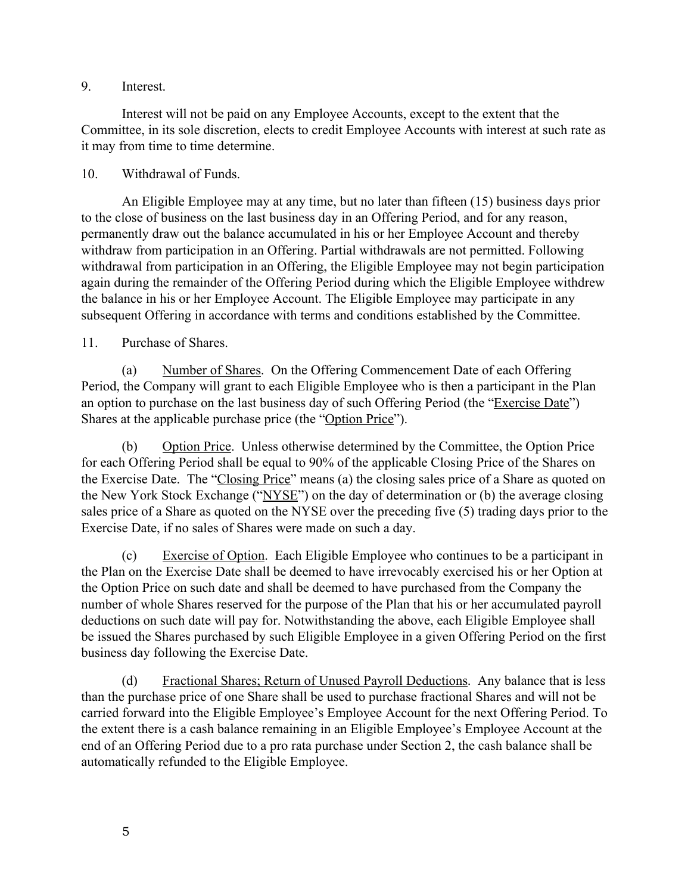### 9. Interest.

Interest will not be paid on any Employee Accounts, except to the extent that the Committee, in its sole discretion, elects to credit Employee Accounts with interest at such rate as it may from time to time determine.

### 10. Withdrawal of Funds.

An Eligible Employee may at any time, but no later than fifteen (15) business days prior to the close of business on the last business day in an Offering Period, and for any reason, permanently draw out the balance accumulated in his or her Employee Account and thereby withdraw from participation in an Offering. Partial withdrawals are not permitted. Following withdrawal from participation in an Offering, the Eligible Employee may not begin participation again during the remainder of the Offering Period during which the Eligible Employee withdrew the balance in his or her Employee Account. The Eligible Employee may participate in any subsequent Offering in accordance with terms and conditions established by the Committee.

### 11. Purchase of Shares.

(a) Number of Shares. On the Offering Commencement Date of each Offering Period, the Company will grant to each Eligible Employee who is then a participant in the Plan an option to purchase on the last business day of such Offering Period (the "Exercise Date") Shares at the applicable purchase price (the "Option Price").

(b) Option Price. Unless otherwise determined by the Committee, the Option Price for each Offering Period shall be equal to 90% of the applicable Closing Price of the Shares on the Exercise Date. The "Closing Price" means (a) the closing sales price of a Share as quoted on the New York Stock Exchange ("NYSE") on the day of determination or (b) the average closing sales price of a Share as quoted on the NYSE over the preceding five (5) trading days prior to the Exercise Date, if no sales of Shares were made on such a day.

(c) Exercise of Option. Each Eligible Employee who continues to be a participant in the Plan on the Exercise Date shall be deemed to have irrevocably exercised his or her Option at the Option Price on such date and shall be deemed to have purchased from the Company the number of whole Shares reserved for the purpose of the Plan that his or her accumulated payroll deductions on such date will pay for. Notwithstanding the above, each Eligible Employee shall be issued the Shares purchased by such Eligible Employee in a given Offering Period on the first business day following the Exercise Date.

(d) Fractional Shares; Return of Unused Payroll Deductions. Any balance that is less than the purchase price of one Share shall be used to purchase fractional Shares and will not be carried forward into the Eligible Employee's Employee Account for the next Offering Period. To the extent there is a cash balance remaining in an Eligible Employee's Employee Account at the end of an Offering Period due to a pro rata purchase under Section 2, the cash balance shall be automatically refunded to the Eligible Employee.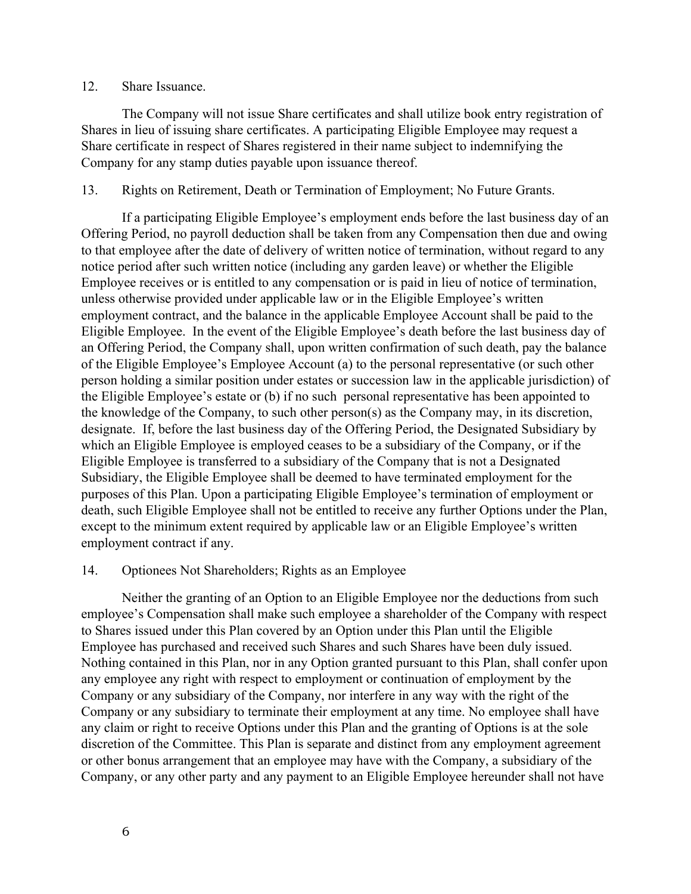#### 12. Share Issuance.

The Company will not issue Share certificates and shall utilize book entry registration of Shares in lieu of issuing share certificates. A participating Eligible Employee may request a Share certificate in respect of Shares registered in their name subject to indemnifying the Company for any stamp duties payable upon issuance thereof.

#### 13. Rights on Retirement, Death or Termination of Employment; No Future Grants.

If a participating Eligible Employee's employment ends before the last business day of an Offering Period, no payroll deduction shall be taken from any Compensation then due and owing to that employee after the date of delivery of written notice of termination, without regard to any notice period after such written notice (including any garden leave) or whether the Eligible Employee receives or is entitled to any compensation or is paid in lieu of notice of termination, unless otherwise provided under applicable law or in the Eligible Employee's written employment contract, and the balance in the applicable Employee Account shall be paid to the Eligible Employee. In the event of the Eligible Employee's death before the last business day of an Offering Period, the Company shall, upon written confirmation of such death, pay the balance of the Eligible Employee's Employee Account (a) to the personal representative (or such other person holding a similar position under estates or succession law in the applicable jurisdiction) of the Eligible Employee's estate or (b) if no such personal representative has been appointed to the knowledge of the Company, to such other person(s) as the Company may, in its discretion, designate. If, before the last business day of the Offering Period, the Designated Subsidiary by which an Eligible Employee is employed ceases to be a subsidiary of the Company, or if the Eligible Employee is transferred to a subsidiary of the Company that is not a Designated Subsidiary, the Eligible Employee shall be deemed to have terminated employment for the purposes of this Plan. Upon a participating Eligible Employee's termination of employment or death, such Eligible Employee shall not be entitled to receive any further Options under the Plan, except to the minimum extent required by applicable law or an Eligible Employee's written employment contract if any.

#### 14. Optionees Not Shareholders; Rights as an Employee

Neither the granting of an Option to an Eligible Employee nor the deductions from such employee's Compensation shall make such employee a shareholder of the Company with respect to Shares issued under this Plan covered by an Option under this Plan until the Eligible Employee has purchased and received such Shares and such Shares have been duly issued. Nothing contained in this Plan, nor in any Option granted pursuant to this Plan, shall confer upon any employee any right with respect to employment or continuation of employment by the Company or any subsidiary of the Company, nor interfere in any way with the right of the Company or any subsidiary to terminate their employment at any time. No employee shall have any claim or right to receive Options under this Plan and the granting of Options is at the sole discretion of the Committee. This Plan is separate and distinct from any employment agreement or other bonus arrangement that an employee may have with the Company, a subsidiary of the Company, or any other party and any payment to an Eligible Employee hereunder shall not have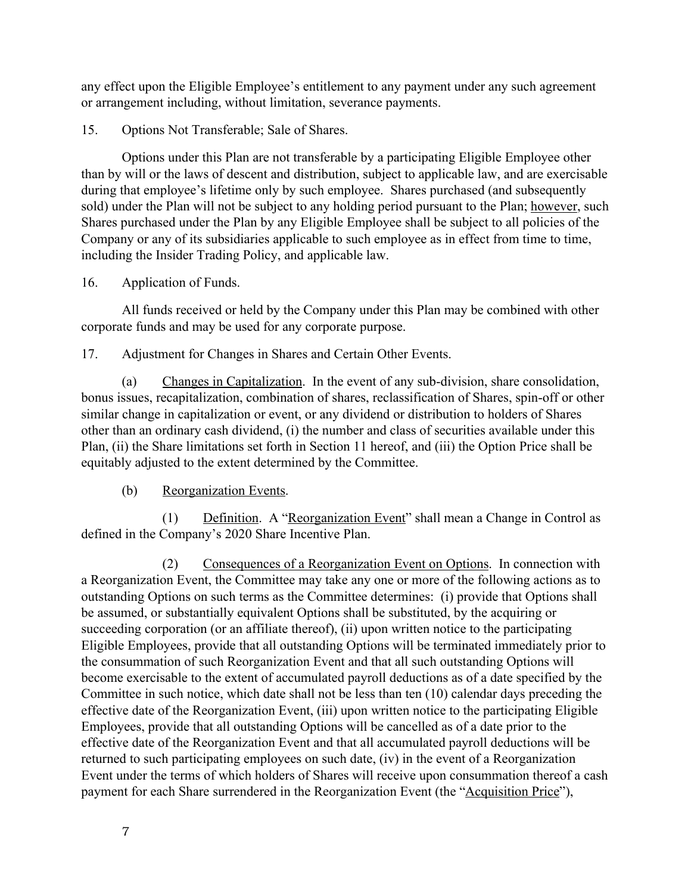any effect upon the Eligible Employee's entitlement to any payment under any such agreement or arrangement including, without limitation, severance payments.

15. Options Not Transferable; Sale of Shares.

Options under this Plan are not transferable by a participating Eligible Employee other than by will or the laws of descent and distribution, subject to applicable law, and are exercisable during that employee's lifetime only by such employee. Shares purchased (and subsequently sold) under the Plan will not be subject to any holding period pursuant to the Plan; however, such Shares purchased under the Plan by any Eligible Employee shall be subject to all policies of the Company or any of its subsidiaries applicable to such employee as in effect from time to time, including the Insider Trading Policy, and applicable law.

### 16. Application of Funds.

All funds received or held by the Company under this Plan may be combined with other corporate funds and may be used for any corporate purpose.

17. Adjustment for Changes in Shares and Certain Other Events.

(a) Changes in Capitalization. In the event of any sub-division, share consolidation, bonus issues, recapitalization, combination of shares, reclassification of Shares, spin-off or other similar change in capitalization or event, or any dividend or distribution to holders of Shares other than an ordinary cash dividend, (i) the number and class of securities available under this Plan, (ii) the Share limitations set forth in Section 11 hereof, and (iii) the Option Price shall be equitably adjusted to the extent determined by the Committee.

### (b) Reorganization Events.

(1) Definition. A "Reorganization Event" shall mean a Change in Control as defined in the Company's 2020 Share Incentive Plan.

(2) Consequences of a Reorganization Event on Options. In connection with a Reorganization Event, the Committee may take any one or more of the following actions as to outstanding Options on such terms as the Committee determines: (i) provide that Options shall be assumed, or substantially equivalent Options shall be substituted, by the acquiring or succeeding corporation (or an affiliate thereof), (ii) upon written notice to the participating Eligible Employees, provide that all outstanding Options will be terminated immediately prior to the consummation of such Reorganization Event and that all such outstanding Options will become exercisable to the extent of accumulated payroll deductions as of a date specified by the Committee in such notice, which date shall not be less than ten (10) calendar days preceding the effective date of the Reorganization Event, (iii) upon written notice to the participating Eligible Employees, provide that all outstanding Options will be cancelled as of a date prior to the effective date of the Reorganization Event and that all accumulated payroll deductions will be returned to such participating employees on such date, (iv) in the event of a Reorganization Event under the terms of which holders of Shares will receive upon consummation thereof a cash payment for each Share surrendered in the Reorganization Event (the "Acquisition Price"),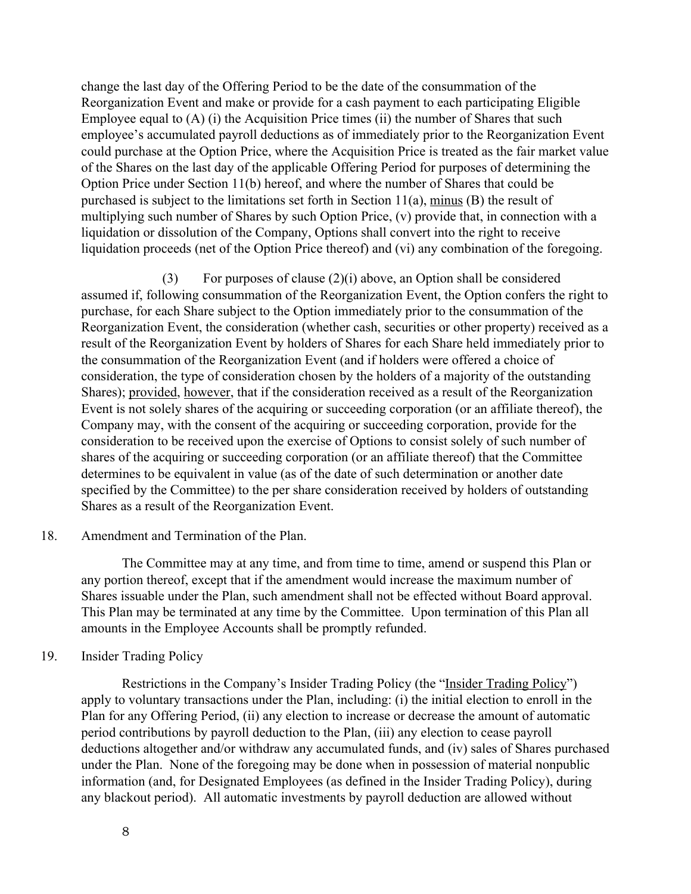change the last day of the Offering Period to be the date of the consummation of the Reorganization Event and make or provide for a cash payment to each participating Eligible Employee equal to (A) (i) the Acquisition Price times (ii) the number of Shares that such employee's accumulated payroll deductions as of immediately prior to the Reorganization Event could purchase at the Option Price, where the Acquisition Price is treated as the fair market value of the Shares on the last day of the applicable Offering Period for purposes of determining the Option Price under Section 11(b) hereof, and where the number of Shares that could be purchased is subject to the limitations set forth in Section 11(a), minus (B) the result of multiplying such number of Shares by such Option Price, (v) provide that, in connection with a liquidation or dissolution of the Company, Options shall convert into the right to receive liquidation proceeds (net of the Option Price thereof) and (vi) any combination of the foregoing.

(3) For purposes of clause (2)(i) above, an Option shall be considered assumed if, following consummation of the Reorganization Event, the Option confers the right to purchase, for each Share subject to the Option immediately prior to the consummation of the Reorganization Event, the consideration (whether cash, securities or other property) received as a result of the Reorganization Event by holders of Shares for each Share held immediately prior to the consummation of the Reorganization Event (and if holders were offered a choice of consideration, the type of consideration chosen by the holders of a majority of the outstanding Shares); provided, however, that if the consideration received as a result of the Reorganization Event is not solely shares of the acquiring or succeeding corporation (or an affiliate thereof), the Company may, with the consent of the acquiring or succeeding corporation, provide for the consideration to be received upon the exercise of Options to consist solely of such number of shares of the acquiring or succeeding corporation (or an affiliate thereof) that the Committee determines to be equivalent in value (as of the date of such determination or another date specified by the Committee) to the per share consideration received by holders of outstanding Shares as a result of the Reorganization Event.

### 18. Amendment and Termination of the Plan.

The Committee may at any time, and from time to time, amend or suspend this Plan or any portion thereof, except that if the amendment would increase the maximum number of Shares issuable under the Plan, such amendment shall not be effected without Board approval. This Plan may be terminated at any time by the Committee. Upon termination of this Plan all amounts in the Employee Accounts shall be promptly refunded.

### 19. Insider Trading Policy

 Restrictions in the Company's Insider Trading Policy (the "Insider Trading Policy") apply to voluntary transactions under the Plan, including: (i) the initial election to enroll in the Plan for any Offering Period, (ii) any election to increase or decrease the amount of automatic period contributions by payroll deduction to the Plan, (iii) any election to cease payroll deductions altogether and/or withdraw any accumulated funds, and (iv) sales of Shares purchased under the Plan. None of the foregoing may be done when in possession of material nonpublic information (and, for Designated Employees (as defined in the Insider Trading Policy), during any blackout period). All automatic investments by payroll deduction are allowed without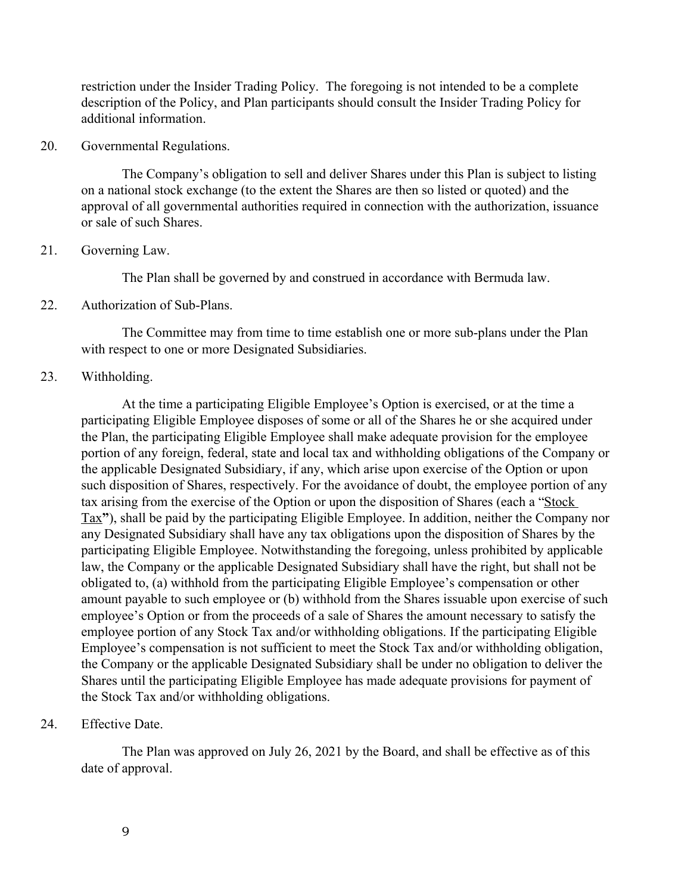restriction under the Insider Trading Policy. The foregoing is not intended to be a complete description of the Policy, and Plan participants should consult the Insider Trading Policy for additional information.

#### 20. Governmental Regulations.

The Company's obligation to sell and deliver Shares under this Plan is subject to listing on a national stock exchange (to the extent the Shares are then so listed or quoted) and the approval of all governmental authorities required in connection with the authorization, issuance or sale of such Shares.

### 21. Governing Law.

The Plan shall be governed by and construed in accordance with Bermuda law.

### 22. Authorization of Sub-Plans.

The Committee may from time to time establish one or more sub-plans under the Plan with respect to one or more Designated Subsidiaries.

#### 23. Withholding.

 At the time a participating Eligible Employee's Option is exercised, or at the time a participating Eligible Employee disposes of some or all of the Shares he or she acquired under the Plan, the participating Eligible Employee shall make adequate provision for the employee portion of any foreign, federal, state and local tax and withholding obligations of the Company or the applicable Designated Subsidiary, if any, which arise upon exercise of the Option or upon such disposition of Shares, respectively. For the avoidance of doubt, the employee portion of any tax arising from the exercise of the Option or upon the disposition of Shares (each a "Stock Tax**"**), shall be paid by the participating Eligible Employee. In addition, neither the Company nor any Designated Subsidiary shall have any tax obligations upon the disposition of Shares by the participating Eligible Employee. Notwithstanding the foregoing, unless prohibited by applicable law, the Company or the applicable Designated Subsidiary shall have the right, but shall not be obligated to, (a) withhold from the participating Eligible Employee's compensation or other amount payable to such employee or (b) withhold from the Shares issuable upon exercise of such employee's Option or from the proceeds of a sale of Shares the amount necessary to satisfy the employee portion of any Stock Tax and/or withholding obligations. If the participating Eligible Employee's compensation is not sufficient to meet the Stock Tax and/or withholding obligation, the Company or the applicable Designated Subsidiary shall be under no obligation to deliver the Shares until the participating Eligible Employee has made adequate provisions for payment of the Stock Tax and/or withholding obligations.

### 24. Effective Date.

The Plan was approved on July 26, 2021 by the Board, and shall be effective as of this date of approval.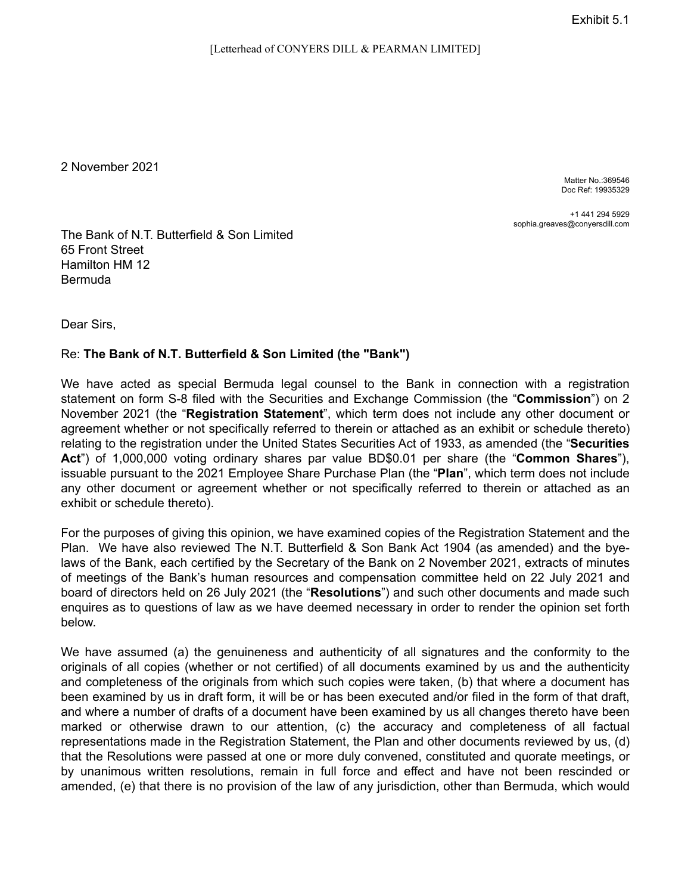2 November 2021

Matter No.:369546 Doc Ref: 19935329

+1 441 294 5929 sophia.greaves@conyersdill.com

The Bank of N.T. Butterfield & Son Limited 65 Front Street Hamilton HM 12 Bermuda

Dear Sirs,

#### Re: **The Bank of N.T. Butterfield & Son Limited (the "Bank")**

We have acted as special Bermuda legal counsel to the Bank in connection with a registration statement on form S-8 filed with the Securities and Exchange Commission (the "**Commission**") on 2 November 2021 (the "**Registration Statement**", which term does not include any other document or agreement whether or not specifically referred to therein or attached as an exhibit or schedule thereto) relating to the registration under the United States Securities Act of 1933, as amended (the "**Securities Act**") of 1,000,000 voting ordinary shares par value BD\$0.01 per share (the "**Common Shares**"), issuable pursuant to the 2021 Employee Share Purchase Plan (the "**Plan**", which term does not include any other document or agreement whether or not specifically referred to therein or attached as an exhibit or schedule thereto).

For the purposes of giving this opinion, we have examined copies of the Registration Statement and the Plan. We have also reviewed The N.T. Butterfield & Son Bank Act 1904 (as amended) and the byelaws of the Bank, each certified by the Secretary of the Bank on 2 November 2021, extracts of minutes of meetings of the Bank's human resources and compensation committee held on 22 July 2021 and board of directors held on 26 July 2021 (the "**Resolutions**") and such other documents and made such enquires as to questions of law as we have deemed necessary in order to render the opinion set forth below.

We have assumed (a) the genuineness and authenticity of all signatures and the conformity to the originals of all copies (whether or not certified) of all documents examined by us and the authenticity and completeness of the originals from which such copies were taken, (b) that where a document has been examined by us in draft form, it will be or has been executed and/or filed in the form of that draft, and where a number of drafts of a document have been examined by us all changes thereto have been marked or otherwise drawn to our attention, (c) the accuracy and completeness of all factual representations made in the Registration Statement, the Plan and other documents reviewed by us, (d) that the Resolutions were passed at one or more duly convened, constituted and quorate meetings, or by unanimous written resolutions, remain in full force and effect and have not been rescinded or amended, (e) that there is no provision of the law of any jurisdiction, other than Bermuda, which would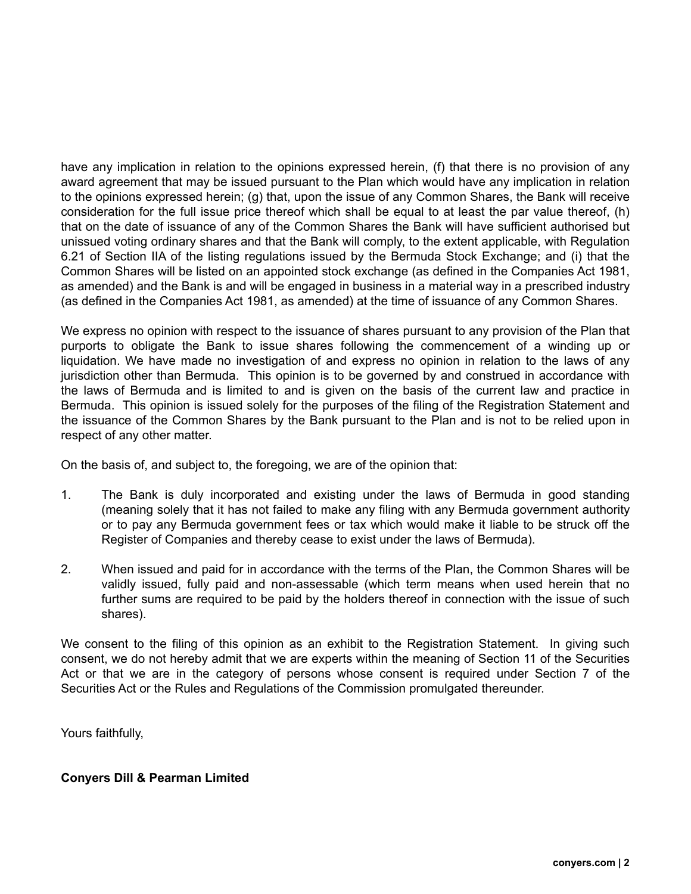have any implication in relation to the opinions expressed herein, (f) that there is no provision of any award agreement that may be issued pursuant to the Plan which would have any implication in relation to the opinions expressed herein; (g) that, upon the issue of any Common Shares, the Bank will receive consideration for the full issue price thereof which shall be equal to at least the par value thereof, (h) that on the date of issuance of any of the Common Shares the Bank will have sufficient authorised but unissued voting ordinary shares and that the Bank will comply, to the extent applicable, with Regulation 6.21 of Section IIA of the listing regulations issued by the Bermuda Stock Exchange; and (i) that the Common Shares will be listed on an appointed stock exchange (as defined in the Companies Act 1981, as amended) and the Bank is and will be engaged in business in a material way in a prescribed industry (as defined in the Companies Act 1981, as amended) at the time of issuance of any Common Shares.

We express no opinion with respect to the issuance of shares pursuant to any provision of the Plan that purports to obligate the Bank to issue shares following the commencement of a winding up or liquidation. We have made no investigation of and express no opinion in relation to the laws of any jurisdiction other than Bermuda. This opinion is to be governed by and construed in accordance with the laws of Bermuda and is limited to and is given on the basis of the current law and practice in Bermuda. This opinion is issued solely for the purposes of the filing of the Registration Statement and the issuance of the Common Shares by the Bank pursuant to the Plan and is not to be relied upon in respect of any other matter.

On the basis of, and subject to, the foregoing, we are of the opinion that:

- 1. The Bank is duly incorporated and existing under the laws of Bermuda in good standing (meaning solely that it has not failed to make any filing with any Bermuda government authority or to pay any Bermuda government fees or tax which would make it liable to be struck off the Register of Companies and thereby cease to exist under the laws of Bermuda).
- 2. When issued and paid for in accordance with the terms of the Plan, the Common Shares will be validly issued, fully paid and non-assessable (which term means when used herein that no further sums are required to be paid by the holders thereof in connection with the issue of such shares).

We consent to the filing of this opinion as an exhibit to the Registration Statement. In giving such consent, we do not hereby admit that we are experts within the meaning of Section 11 of the Securities Act or that we are in the category of persons whose consent is required under Section 7 of the Securities Act or the Rules and Regulations of the Commission promulgated thereunder.

Yours faithfully,

### **Conyers Dill & Pearman Limited**